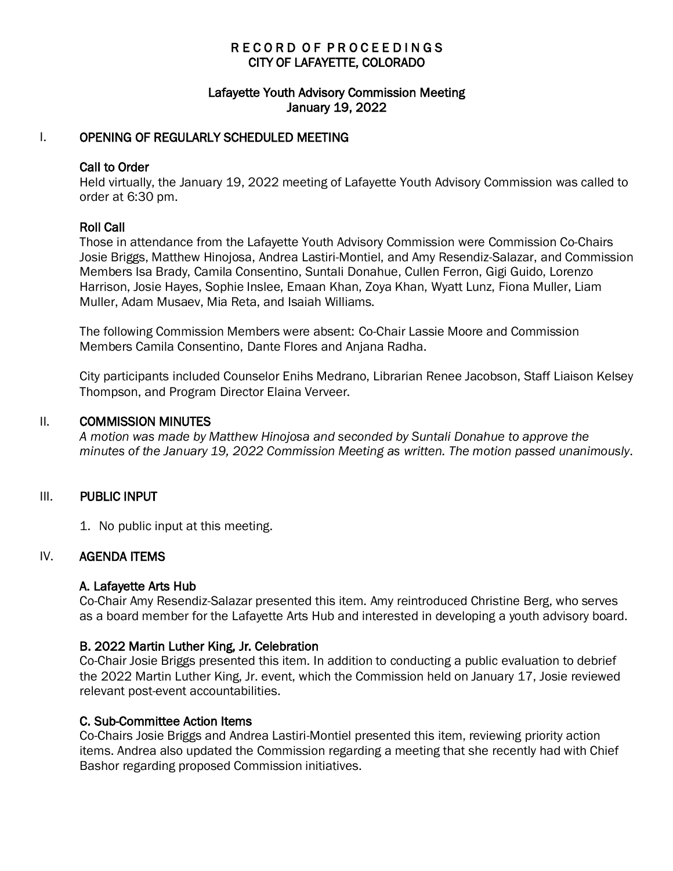# RECORD OF PROCEEDINGS CITY OF LAFAYETTE, COLORADO

## Lafayette Youth Advisory Commission Meeting January 19, 2022

## I. OPENING OF REGULARLY SCHEDULED MEETING

### Call to Order

Held virtually, the January 19, 2022 meeting of Lafayette Youth Advisory Commission was called to order at 6:30 pm.

## Roll Call

Those in attendance from the Lafayette Youth Advisory Commission were Commission Co-Chairs Josie Briggs, Matthew Hinojosa, Andrea Lastiri-Montiel, and Amy Resendiz-Salazar, and Commission Members Isa Brady, Camila Consentino, Suntali Donahue, Cullen Ferron, Gigi Guido, Lorenzo Harrison, Josie Hayes, Sophie Inslee, Emaan Khan, Zoya Khan, Wyatt Lunz, Fiona Muller, Liam Muller, Adam Musaev, Mia Reta, and Isaiah Williams.

The following Commission Members were absent: Co-Chair Lassie Moore and Commission Members Camila Consentino, Dante Flores and Anjana Radha.

City participants included Counselor Enihs Medrano, Librarian Renee Jacobson, Staff Liaison Kelsey Thompson, and Program Director Elaina Verveer.

#### II. COMMISSION MINUTES

*A motion was made by Matthew Hinojosa and seconded by Suntali Donahue to approve the minutes of the January 19, 2022 Commission Meeting as written. The motion passed unanimously*.

### III. PUBLIC INPUT

1. No public input at this meeting.

### IV. AGENDA ITEMS

### A. Lafayette Arts Hub

Co-Chair Amy Resendiz-Salazar presented this item. Amy reintroduced Christine Berg, who serves as a board member for the Lafayette Arts Hub and interested in developing a youth advisory board.

### B. 2022 Martin Luther King, Jr. Celebration

Co-Chair Josie Briggs presented this item. In addition to conducting a public evaluation to debrief the 2022 Martin Luther King, Jr. event, which the Commission held on January 17, Josie reviewed relevant post-event accountabilities.

### C. Sub-Committee Action Items

Co-Chairs Josie Briggs and Andrea Lastiri-Montiel presented this item, reviewing priority action items. Andrea also updated the Commission regarding a meeting that she recently had with Chief Bashor regarding proposed Commission initiatives.